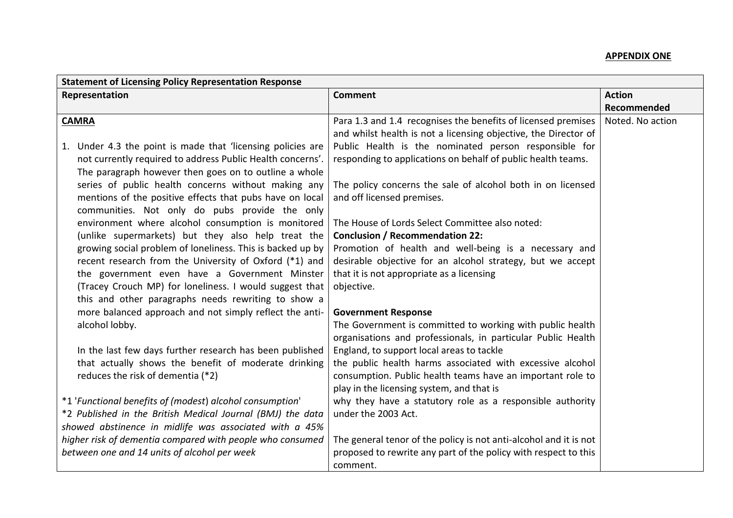## **APPENDIX ONE**

| <b>Statement of Licensing Policy Representation Response</b>                              |                                                                                                                         |                  |
|-------------------------------------------------------------------------------------------|-------------------------------------------------------------------------------------------------------------------------|------------------|
| Representation                                                                            | <b>Comment</b>                                                                                                          | <b>Action</b>    |
|                                                                                           |                                                                                                                         | Recommended      |
| <b>CAMRA</b>                                                                              | Para 1.3 and 1.4 recognises the benefits of licensed premises                                                           | Noted. No action |
|                                                                                           | and whilst health is not a licensing objective, the Director of                                                         |                  |
| 1. Under 4.3 the point is made that 'licensing policies are                               | Public Health is the nominated person responsible for                                                                   |                  |
| not currently required to address Public Health concerns'.                                | responding to applications on behalf of public health teams.                                                            |                  |
| The paragraph however then goes on to outline a whole                                     |                                                                                                                         |                  |
| series of public health concerns without making any                                       | The policy concerns the sale of alcohol both in on licensed                                                             |                  |
| mentions of the positive effects that pubs have on local                                  | and off licensed premises.                                                                                              |                  |
| communities. Not only do pubs provide the only                                            |                                                                                                                         |                  |
| environment where alcohol consumption is monitored                                        | The House of Lords Select Committee also noted:                                                                         |                  |
| (unlike supermarkets) but they also help treat the                                        | <b>Conclusion / Recommendation 22:</b>                                                                                  |                  |
| growing social problem of loneliness. This is backed up by                                | Promotion of health and well-being is a necessary and                                                                   |                  |
| recent research from the University of Oxford (*1) and                                    | desirable objective for an alcohol strategy, but we accept                                                              |                  |
| the government even have a Government Minster                                             | that it is not appropriate as a licensing                                                                               |                  |
| (Tracey Crouch MP) for loneliness. I would suggest that                                   | objective.                                                                                                              |                  |
| this and other paragraphs needs rewriting to show a                                       |                                                                                                                         |                  |
| more balanced approach and not simply reflect the anti-                                   | <b>Government Response</b>                                                                                              |                  |
| alcohol lobby.                                                                            | The Government is committed to working with public health                                                               |                  |
|                                                                                           | organisations and professionals, in particular Public Health                                                            |                  |
| In the last few days further research has been published                                  | England, to support local areas to tackle                                                                               |                  |
| that actually shows the benefit of moderate drinking<br>reduces the risk of dementia (*2) | the public health harms associated with excessive alcohol<br>consumption. Public health teams have an important role to |                  |
|                                                                                           | play in the licensing system, and that is                                                                               |                  |
| *1 'Functional benefits of (modest) alcohol consumption'                                  | why they have a statutory role as a responsible authority                                                               |                  |
| *2 Published in the British Medical Journal (BMJ) the data                                | under the 2003 Act.                                                                                                     |                  |
| showed abstinence in midlife was associated with a 45%                                    |                                                                                                                         |                  |
| higher risk of dementia compared with people who consumed                                 | The general tenor of the policy is not anti-alcohol and it is not                                                       |                  |
| between one and 14 units of alcohol per week                                              | proposed to rewrite any part of the policy with respect to this                                                         |                  |
|                                                                                           | comment.                                                                                                                |                  |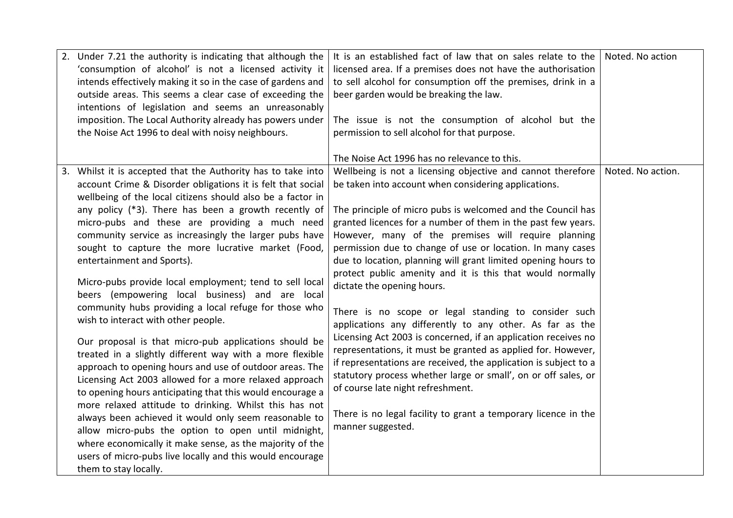| 2. Under 7.21 the authority is indicating that although the<br>'consumption of alcohol' is not a licensed activity it<br>intends effectively making it so in the case of gardens and<br>outside areas. This seems a clear case of exceeding the<br>intentions of legislation and seems an unreasonably<br>imposition. The Local Authority already has powers under<br>the Noise Act 1996 to deal with noisy neighbours.                                                                                                                                                                                                                                                                                                                                                                                                                                                                                                                                                                                                                                                                                                                                                                                                                                                                            | It is an established fact of law that on sales relate to the<br>licensed area. If a premises does not have the authorisation<br>to sell alcohol for consumption off the premises, drink in a<br>beer garden would be breaking the law.<br>The issue is not the consumption of alcohol but the<br>permission to sell alcohol for that purpose.<br>The Noise Act 1996 has no relevance to this.                                                                                                                                                                                                                                                                                                                                                                                                                                                                                                                                                                                                                                                               | Noted. No action  |
|----------------------------------------------------------------------------------------------------------------------------------------------------------------------------------------------------------------------------------------------------------------------------------------------------------------------------------------------------------------------------------------------------------------------------------------------------------------------------------------------------------------------------------------------------------------------------------------------------------------------------------------------------------------------------------------------------------------------------------------------------------------------------------------------------------------------------------------------------------------------------------------------------------------------------------------------------------------------------------------------------------------------------------------------------------------------------------------------------------------------------------------------------------------------------------------------------------------------------------------------------------------------------------------------------|-------------------------------------------------------------------------------------------------------------------------------------------------------------------------------------------------------------------------------------------------------------------------------------------------------------------------------------------------------------------------------------------------------------------------------------------------------------------------------------------------------------------------------------------------------------------------------------------------------------------------------------------------------------------------------------------------------------------------------------------------------------------------------------------------------------------------------------------------------------------------------------------------------------------------------------------------------------------------------------------------------------------------------------------------------------|-------------------|
| 3. Whilst it is accepted that the Authority has to take into<br>account Crime & Disorder obligations it is felt that social<br>wellbeing of the local citizens should also be a factor in<br>any policy (*3). There has been a growth recently of<br>micro-pubs and these are providing a much need<br>community service as increasingly the larger pubs have<br>sought to capture the more lucrative market (Food,<br>entertainment and Sports).<br>Micro-pubs provide local employment; tend to sell local<br>beers (empowering local business) and are local<br>community hubs providing a local refuge for those who<br>wish to interact with other people.<br>Our proposal is that micro-pub applications should be<br>treated in a slightly different way with a more flexible<br>approach to opening hours and use of outdoor areas. The<br>Licensing Act 2003 allowed for a more relaxed approach<br>to opening hours anticipating that this would encourage a<br>more relaxed attitude to drinking. Whilst this has not<br>always been achieved it would only seem reasonable to<br>allow micro-pubs the option to open until midnight,<br>where economically it make sense, as the majority of the<br>users of micro-pubs live locally and this would encourage<br>them to stay locally. | Wellbeing is not a licensing objective and cannot therefore<br>be taken into account when considering applications.<br>The principle of micro pubs is welcomed and the Council has<br>granted licences for a number of them in the past few years.<br>However, many of the premises will require planning<br>permission due to change of use or location. In many cases<br>due to location, planning will grant limited opening hours to<br>protect public amenity and it is this that would normally<br>dictate the opening hours.<br>There is no scope or legal standing to consider such<br>applications any differently to any other. As far as the<br>Licensing Act 2003 is concerned, if an application receives no<br>representations, it must be granted as applied for. However,<br>if representations are received, the application is subject to a<br>statutory process whether large or small', on or off sales, or<br>of course late night refreshment.<br>There is no legal facility to grant a temporary licence in the<br>manner suggested. | Noted. No action. |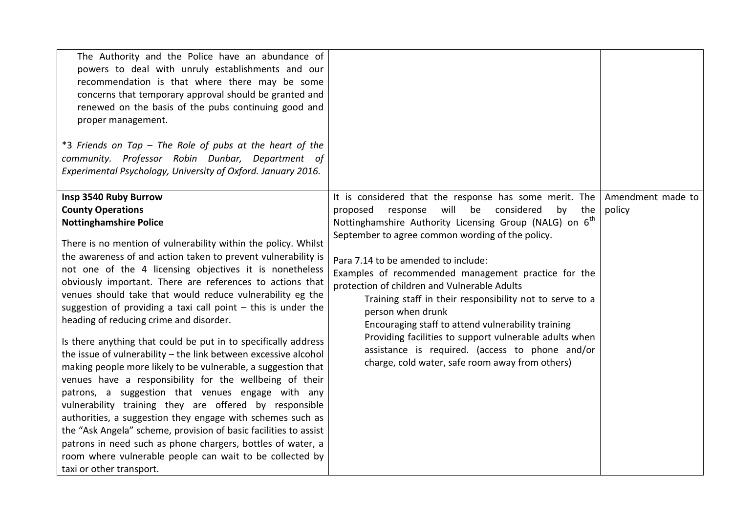| The Authority and the Police have an abundance of<br>powers to deal with unruly establishments and our<br>recommendation is that where there may be some<br>concerns that temporary approval should be granted and<br>renewed on the basis of the pubs continuing good and<br>proper management.<br>*3 Friends on Tap - The Role of pubs at the heart of the<br>community. Professor Robin Dunbar, Department of<br>Experimental Psychology, University of Oxford. January 2016.                                                                                                                                                                                                                                                                                                                                                                                                                                                                                                                                                                                                                            |                                                                                                                                                                                                                                                                                                                                                                                                                                                                                                       |                             |
|-------------------------------------------------------------------------------------------------------------------------------------------------------------------------------------------------------------------------------------------------------------------------------------------------------------------------------------------------------------------------------------------------------------------------------------------------------------------------------------------------------------------------------------------------------------------------------------------------------------------------------------------------------------------------------------------------------------------------------------------------------------------------------------------------------------------------------------------------------------------------------------------------------------------------------------------------------------------------------------------------------------------------------------------------------------------------------------------------------------|-------------------------------------------------------------------------------------------------------------------------------------------------------------------------------------------------------------------------------------------------------------------------------------------------------------------------------------------------------------------------------------------------------------------------------------------------------------------------------------------------------|-----------------------------|
| Insp 3540 Ruby Burrow<br><b>County Operations</b><br><b>Nottinghamshire Police</b>                                                                                                                                                                                                                                                                                                                                                                                                                                                                                                                                                                                                                                                                                                                                                                                                                                                                                                                                                                                                                          | It is considered that the response has some merit. The<br>will<br>be<br>considered<br>by<br>proposed<br>response<br>the<br>Nottinghamshire Authority Licensing Group (NALG) on 6 <sup>th</sup>                                                                                                                                                                                                                                                                                                        | Amendment made to<br>policy |
| There is no mention of vulnerability within the policy. Whilst<br>the awareness of and action taken to prevent vulnerability is<br>not one of the 4 licensing objectives it is nonetheless<br>obviously important. There are references to actions that<br>venues should take that would reduce vulnerability eg the<br>suggestion of providing a taxi call point $-$ this is under the<br>heading of reducing crime and disorder.<br>Is there anything that could be put in to specifically address<br>the issue of vulnerability - the link between excessive alcohol<br>making people more likely to be vulnerable, a suggestion that<br>venues have a responsibility for the wellbeing of their<br>patrons, a suggestion that venues engage with any<br>vulnerability training they are offered by responsible<br>authorities, a suggestion they engage with schemes such as<br>the "Ask Angela" scheme, provision of basic facilities to assist<br>patrons in need such as phone chargers, bottles of water, a<br>room where vulnerable people can wait to be collected by<br>taxi or other transport. | September to agree common wording of the policy.<br>Para 7.14 to be amended to include:<br>Examples of recommended management practice for the<br>protection of children and Vulnerable Adults<br>Training staff in their responsibility not to serve to a<br>person when drunk<br>Encouraging staff to attend vulnerability training<br>Providing facilities to support vulnerable adults when<br>assistance is required. (access to phone and/or<br>charge, cold water, safe room away from others) |                             |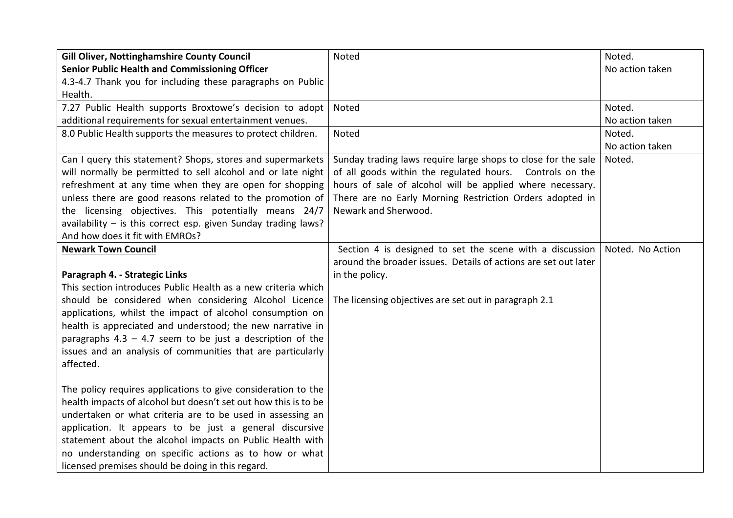| <b>Gill Oliver, Nottinghamshire County Council</b>               | Noted                                                           | Noted.           |
|------------------------------------------------------------------|-----------------------------------------------------------------|------------------|
| <b>Senior Public Health and Commissioning Officer</b>            |                                                                 | No action taken  |
| 4.3-4.7 Thank you for including these paragraphs on Public       |                                                                 |                  |
| Health.                                                          |                                                                 |                  |
| 7.27 Public Health supports Broxtowe's decision to adopt         | Noted                                                           | Noted.           |
| additional requirements for sexual entertainment venues.         |                                                                 | No action taken  |
| 8.0 Public Health supports the measures to protect children.     | Noted                                                           | Noted.           |
|                                                                  |                                                                 | No action taken  |
| Can I query this statement? Shops, stores and supermarkets       | Sunday trading laws require large shops to close for the sale   | Noted.           |
| will normally be permitted to sell alcohol and or late night     | of all goods within the regulated hours. Controls on the        |                  |
| refreshment at any time when they are open for shopping          | hours of sale of alcohol will be applied where necessary.       |                  |
| unless there are good reasons related to the promotion of        | There are no Early Morning Restriction Orders adopted in        |                  |
| the licensing objectives. This potentially means 24/7            | Newark and Sherwood.                                            |                  |
| availability $-$ is this correct esp. given Sunday trading laws? |                                                                 |                  |
| And how does it fit with EMROs?                                  |                                                                 |                  |
| <b>Newark Town Council</b>                                       | Section 4 is designed to set the scene with a discussion        | Noted. No Action |
|                                                                  | around the broader issues. Details of actions are set out later |                  |
| Paragraph 4. - Strategic Links                                   | in the policy.                                                  |                  |
| This section introduces Public Health as a new criteria which    |                                                                 |                  |
| should be considered when considering Alcohol Licence            | The licensing objectives are set out in paragraph 2.1           |                  |
| applications, whilst the impact of alcohol consumption on        |                                                                 |                  |
| health is appreciated and understood; the new narrative in       |                                                                 |                  |
| paragraphs $4.3 - 4.7$ seem to be just a description of the      |                                                                 |                  |
| issues and an analysis of communities that are particularly      |                                                                 |                  |
| affected.                                                        |                                                                 |                  |
|                                                                  |                                                                 |                  |
| The policy requires applications to give consideration to the    |                                                                 |                  |
| health impacts of alcohol but doesn't set out how this is to be  |                                                                 |                  |
| undertaken or what criteria are to be used in assessing an       |                                                                 |                  |
| application. It appears to be just a general discursive          |                                                                 |                  |
| statement about the alcohol impacts on Public Health with        |                                                                 |                  |
| no understanding on specific actions as to how or what           |                                                                 |                  |
| licensed premises should be doing in this regard.                |                                                                 |                  |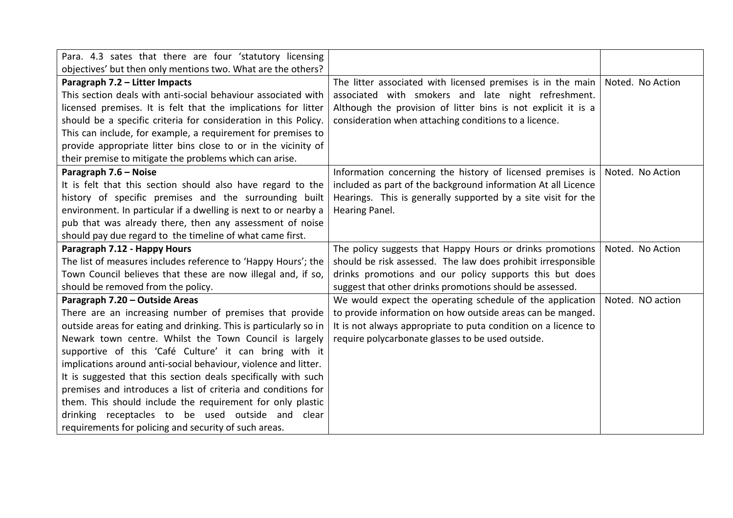| Para. 4.3 sates that there are four 'statutory licensing          |                                                                |                  |
|-------------------------------------------------------------------|----------------------------------------------------------------|------------------|
| objectives' but then only mentions two. What are the others?      |                                                                |                  |
| Paragraph 7.2 - Litter Impacts                                    | The litter associated with licensed premises is in the main    | Noted. No Action |
| This section deals with anti-social behaviour associated with     | associated with smokers and late night refreshment.            |                  |
| licensed premises. It is felt that the implications for litter    | Although the provision of litter bins is not explicit it is a  |                  |
| should be a specific criteria for consideration in this Policy.   | consideration when attaching conditions to a licence.          |                  |
| This can include, for example, a requirement for premises to      |                                                                |                  |
| provide appropriate litter bins close to or in the vicinity of    |                                                                |                  |
| their premise to mitigate the problems which can arise.           |                                                                |                  |
| Paragraph 7.6 - Noise                                             | Information concerning the history of licensed premises is     | Noted. No Action |
| It is felt that this section should also have regard to the       | included as part of the background information At all Licence  |                  |
| history of specific premises and the surrounding built            | Hearings. This is generally supported by a site visit for the  |                  |
| environment. In particular if a dwelling is next to or nearby a   | Hearing Panel.                                                 |                  |
| pub that was already there, then any assessment of noise          |                                                                |                  |
| should pay due regard to the timeline of what came first.         |                                                                |                  |
| Paragraph 7.12 - Happy Hours                                      | The policy suggests that Happy Hours or drinks promotions      | Noted. No Action |
| The list of measures includes reference to 'Happy Hours'; the     | should be risk assessed. The law does prohibit irresponsible   |                  |
| Town Council believes that these are now illegal and, if so,      | drinks promotions and our policy supports this but does        |                  |
| should be removed from the policy.                                | suggest that other drinks promotions should be assessed.       |                  |
| Paragraph 7.20 - Outside Areas                                    | We would expect the operating schedule of the application      | Noted. NO action |
| There are an increasing number of premises that provide           | to provide information on how outside areas can be manged.     |                  |
| outside areas for eating and drinking. This is particularly so in | It is not always appropriate to puta condition on a licence to |                  |
| Newark town centre. Whilst the Town Council is largely            | require polycarbonate glasses to be used outside.              |                  |
| supportive of this 'Café Culture' it can bring with it            |                                                                |                  |
| implications around anti-social behaviour, violence and litter.   |                                                                |                  |
| It is suggested that this section deals specifically with such    |                                                                |                  |
| premises and introduces a list of criteria and conditions for     |                                                                |                  |
| them. This should include the requirement for only plastic        |                                                                |                  |
| drinking receptacles to be used outside and clear                 |                                                                |                  |
| requirements for policing and security of such areas.             |                                                                |                  |